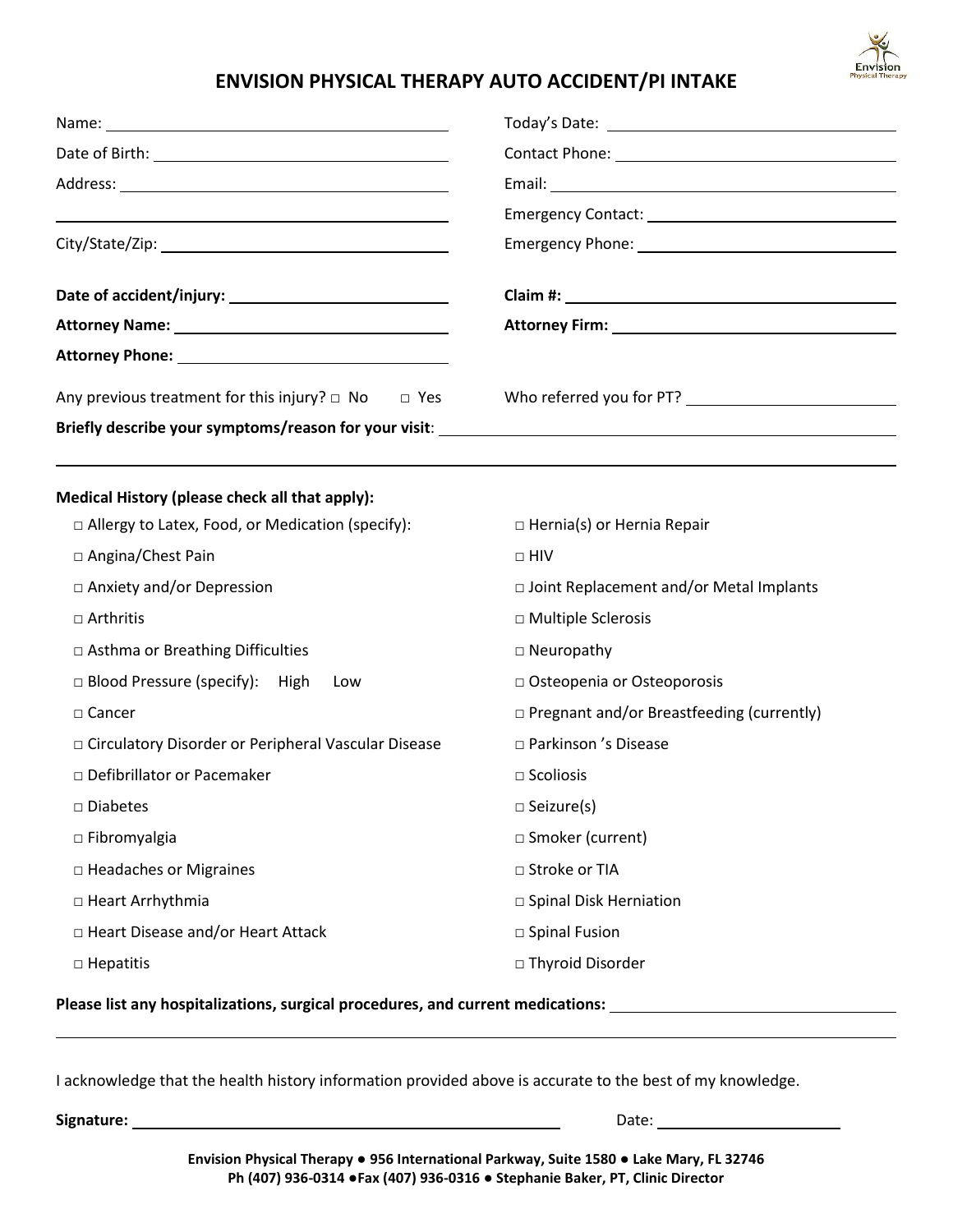

## **ENVISION PHYSICAL THERAPY AUTO ACCIDENT/PI INTAKE**

| Attorney Name: 1988 and 2008 and 2008 and 2008 and 2008 and 2008 and 2008 and 2008 and 2008 and 2008 and 2008 |                                                  |  |
|---------------------------------------------------------------------------------------------------------------|--------------------------------------------------|--|
|                                                                                                               |                                                  |  |
| Any previous treatment for this injury? $\Box$ No $\Box$ Yes                                                  |                                                  |  |
| Medical History (please check all that apply):                                                                |                                                  |  |
| $\Box$ Allergy to Latex, Food, or Medication (specify):                                                       | $\Box$ Hernia(s) or Hernia Repair                |  |
| □ Angina/Chest Pain                                                                                           | $\Box$ HIV                                       |  |
| □ Anxiety and/or Depression                                                                                   | □ Joint Replacement and/or Metal Implants        |  |
| $\Box$ Arthritis                                                                                              | □ Multiple Sclerosis                             |  |
| □ Asthma or Breathing Difficulties                                                                            | $\Box$ Neuropathy                                |  |
| □ Blood Pressure (specify): High<br>Low                                                                       | □ Osteopenia or Osteoporosis                     |  |
| $\Box$ Cancer                                                                                                 | $\Box$ Pregnant and/or Breastfeeding (currently) |  |
| □ Circulatory Disorder or Peripheral Vascular Disease                                                         | □ Parkinson 's Disease                           |  |
| □ Defibrillator or Pacemaker                                                                                  | $\square$ Scoliosis                              |  |
| □ Diabetes                                                                                                    | $\Box$ Seizure(s)                                |  |
| $\square$ Fibromyalgia                                                                                        | □ Smoker (current)                               |  |
| $\Box$ Headaches or Migraines                                                                                 | □ Stroke or TIA                                  |  |
| □ Heart Arrhythmia                                                                                            | □ Spinal Disk Herniation                         |  |
| □ Heart Disease and/or Heart Attack                                                                           | □ Spinal Fusion                                  |  |
| □ Hepatitis                                                                                                   | □ Thyroid Disorder                               |  |
| Please list any hospitalizations, surgical procedures, and current medications:                               |                                                  |  |

I acknowledge that the health history information provided above is accurate to the best of my knowledge.

**Signature:** Date:

**Envision Physical Therapy ● 956 International Parkway, Suite 1580 ● Lake Mary, FL 32746 Ph (407) 936-0314 ●Fax (407) 936-0316 ● Stephanie Baker, PT, Clinic Director**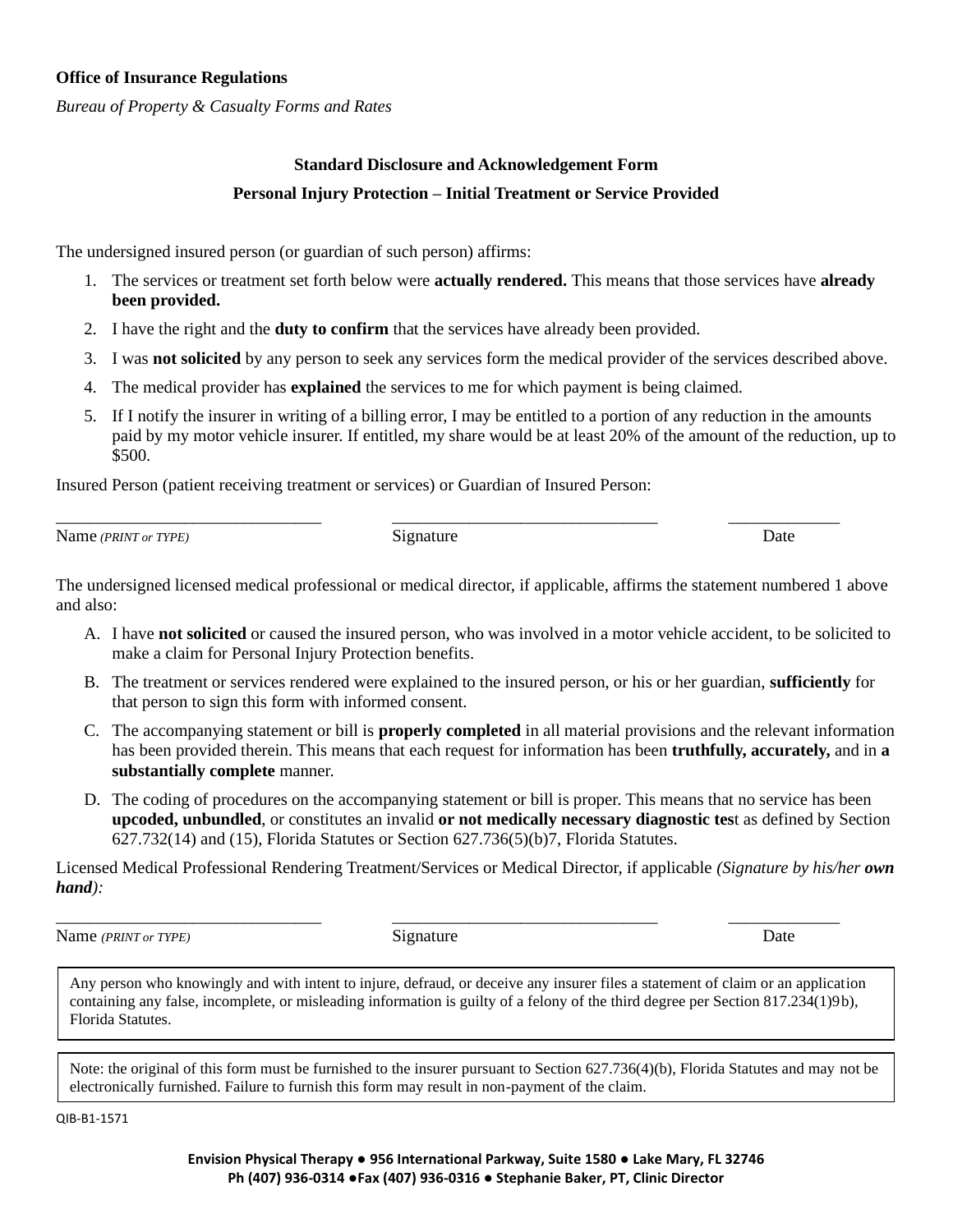#### **Office of Insurance Regulations**

*Bureau of Property & Casualty Forms and Rates*

## **Standard Disclosure and Acknowledgement Form Personal Injury Protection – Initial Treatment or Service Provided**

The undersigned insured person (or guardian of such person) affirms:

- 1. The services or treatment set forth below were **actually rendered.** This means that those services have **already been provided.**
- 2. I have the right and the **duty to confirm** that the services have already been provided.
- 3. I was **not solicited** by any person to seek any services form the medical provider of the services described above.
- 4. The medical provider has **explained** the services to me for which payment is being claimed.
- 5. If I notify the insurer in writing of a billing error, I may be entitled to a portion of any reduction in the amounts paid by my motor vehicle insurer. If entitled, my share would be at least 20% of the amount of the reduction, up to \$500.

Insured Person (patient receiving treatment or services) or Guardian of Insured Person:

Name *(PRINT or TYPE)* Signature Date Security of *Signature* Date

\_\_\_\_\_\_\_\_\_\_\_\_\_\_\_\_\_\_\_\_\_\_\_\_\_\_\_\_\_\_\_ \_\_\_\_\_\_\_\_\_\_\_\_\_\_\_\_\_\_\_\_\_\_\_\_\_\_\_\_\_\_\_ \_\_\_\_\_\_\_\_\_\_\_\_\_

The undersigned licensed medical professional or medical director, if applicable, affirms the statement numbered 1 above and also:

- A. I have **not solicited** or caused the insured person, who was involved in a motor vehicle accident, to be solicited to make a claim for Personal Injury Protection benefits.
- B. The treatment or services rendered were explained to the insured person, or his or her guardian, **sufficiently** for that person to sign this form with informed consent.
- C. The accompanying statement or bill is **properly completed** in all material provisions and the relevant information has been provided therein. This means that each request for information has been **truthfully, accurately,** and in **a substantially complete** manner.
- D. The coding of procedures on the accompanying statement or bill is proper. This means that no service has been **upcoded, unbundled**, or constitutes an invalid **or not medically necessary diagnostic tes**t as defined by Section 627.732(14) and (15), Florida Statutes or Section 627.736(5)(b)7, Florida Statutes.

Licensed Medical Professional Rendering Treatment/Services or Medical Director, if applicable *(Signature by his/her own hand):*

Name *(PRINT or TYPE)* Signature Signature Date

\_\_\_\_\_\_\_\_\_\_\_\_\_\_\_\_\_\_\_\_\_\_\_\_\_\_\_\_\_\_\_ \_\_\_\_\_\_\_\_\_\_\_\_\_\_\_\_\_\_\_\_\_\_\_\_\_\_\_\_\_\_\_ \_\_\_\_\_\_\_\_\_\_\_\_\_

Any person who knowingly and with intent to injure, defraud, or deceive any insurer files a statement of claim or an application containing any false, incomplete, or misleading information is guilty of a felony of the third degree per Section 817.234(1)9b), Florida Statutes.

Note: the original of this form must be furnished to the insurer pursuant to Section 627.736(4)(b), Florida Statutes and may not be electronically furnished. Failure to furnish this form may result in non-payment of the claim.

QIB-B1-1571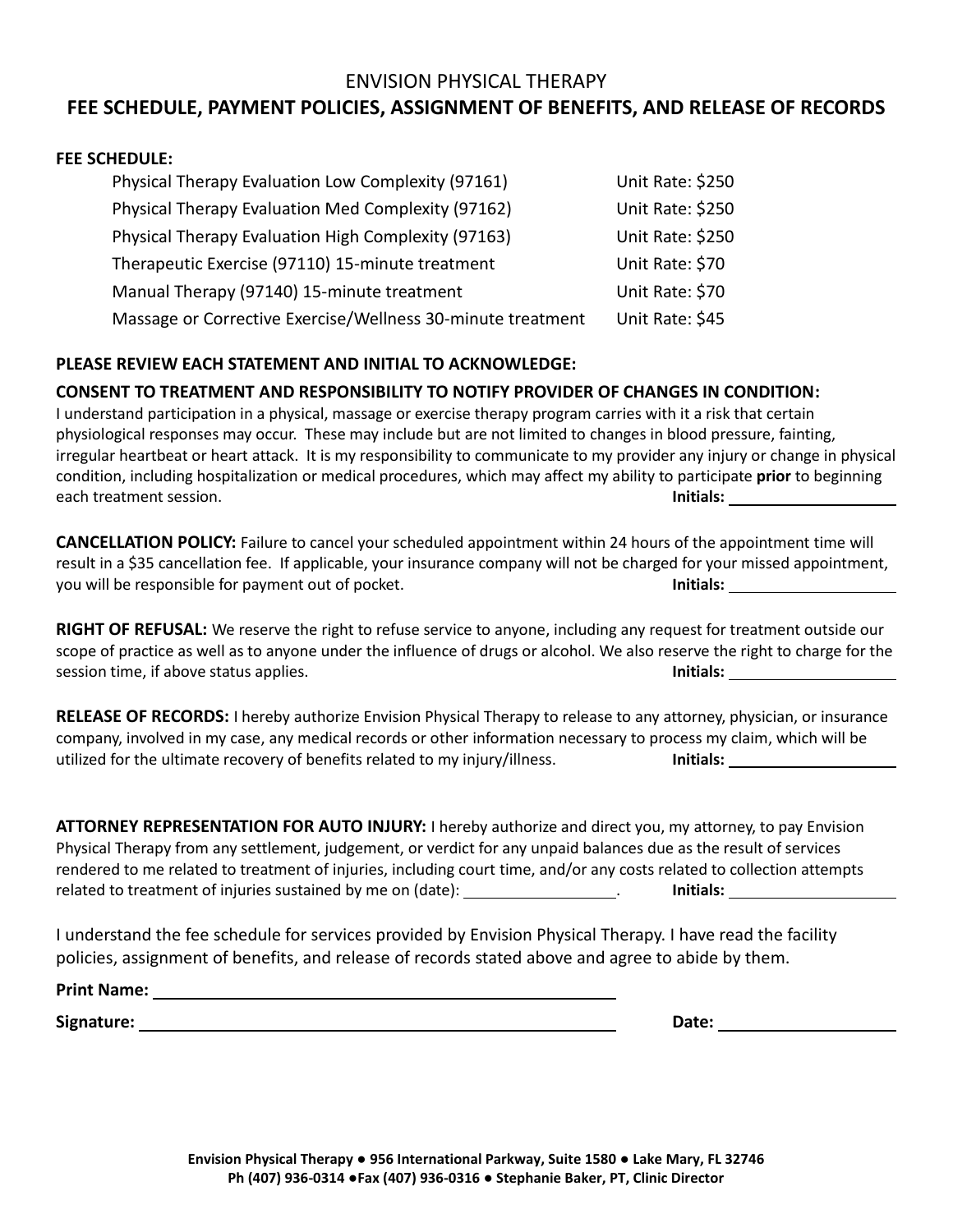### ENVISION PHYSICAL THERAPY

## **FEE SCHEDULE, PAYMENT POLICIES, ASSIGNMENT OF BENEFITS, AND RELEASE OF RECORDS**

#### **FEE SCHEDULE:**

| Physical Therapy Evaluation Low Complexity (97161)          | Unit Rate: \$250 |
|-------------------------------------------------------------|------------------|
| Physical Therapy Evaluation Med Complexity (97162)          | Unit Rate: \$250 |
| Physical Therapy Evaluation High Complexity (97163)         | Unit Rate: \$250 |
| Therapeutic Exercise (97110) 15-minute treatment            | Unit Rate: \$70  |
| Manual Therapy (97140) 15-minute treatment                  | Unit Rate: \$70  |
| Massage or Corrective Exercise/Wellness 30-minute treatment | Unit Rate: \$45  |

#### **PLEASE REVIEW EACH STATEMENT AND INITIAL TO ACKNOWLEDGE:**

#### **CONSENT TO TREATMENT AND RESPONSIBILITY TO NOTIFY PROVIDER OF CHANGES IN CONDITION:**

I understand participation in a physical, massage or exercise therapy program carries with it a risk that certain physiological responses may occur. These may include but are not limited to changes in blood pressure, fainting, irregular heartbeat or heart attack. It is my responsibility to communicate to my provider any injury or change in physical condition, including hospitalization or medical procedures, which may affect my ability to participate **prior** to beginning each treatment session. **Initials:** 

**CANCELLATION POLICY:** Failure to cancel your scheduled appointment within 24 hours of the appointment time will result in a \$35 cancellation fee. If applicable, your insurance company will not be charged for your missed appointment, you will be responsible for payment out of pocket. **Initials:** 

**RIGHT OF REFUSAL:** We reserve the right to refuse service to anyone, including any request for treatment outside our scope of practice as well as to anyone under the influence of drugs or alcohol. We also reserve the right to charge for the session time, if above status applies. **Initials: Initials: Initials: Initials: Initials: Initials: Initials: Initials: Initials: Initials: Initials: Initials: Initials: Initials: Initials: In** 

**RELEASE OF RECORDS:** I hereby authorize Envision Physical Therapy to release to any attorney, physician, or insurance company, involved in my case, any medical records or other information necessary to process my claim, which will be utilized for the ultimate recovery of benefits related to my injury/illness. **Initials:**

**ATTORNEY REPRESENTATION FOR AUTO INJURY:** I hereby authorize and direct you, my attorney, to pay Envision Physical Therapy from any settlement, judgement, or verdict for any unpaid balances due as the result of services rendered to me related to treatment of injuries, including court time, and/or any costs related to collection attempts related to treatment of injuries sustained by me on (date): *Initials* **Initials: Initials: Initials: Initials: Initials: Initials: Initials: Initials: Initials: Initials: Initials: Initials: Init** 

I understand the fee schedule for services provided by Envision Physical Therapy. I have read the facility policies, assignment of benefits, and release of records stated above and agree to abide by them.

**Print Name:**

**Signature:** Date: **Date: Date: Date: Date: Date: Date: Date: Date: Date: Date: Date: Date: Date: Date: Date: Date: Date: Date: Date: Date: Date: Date: Date: Date: Date: Da**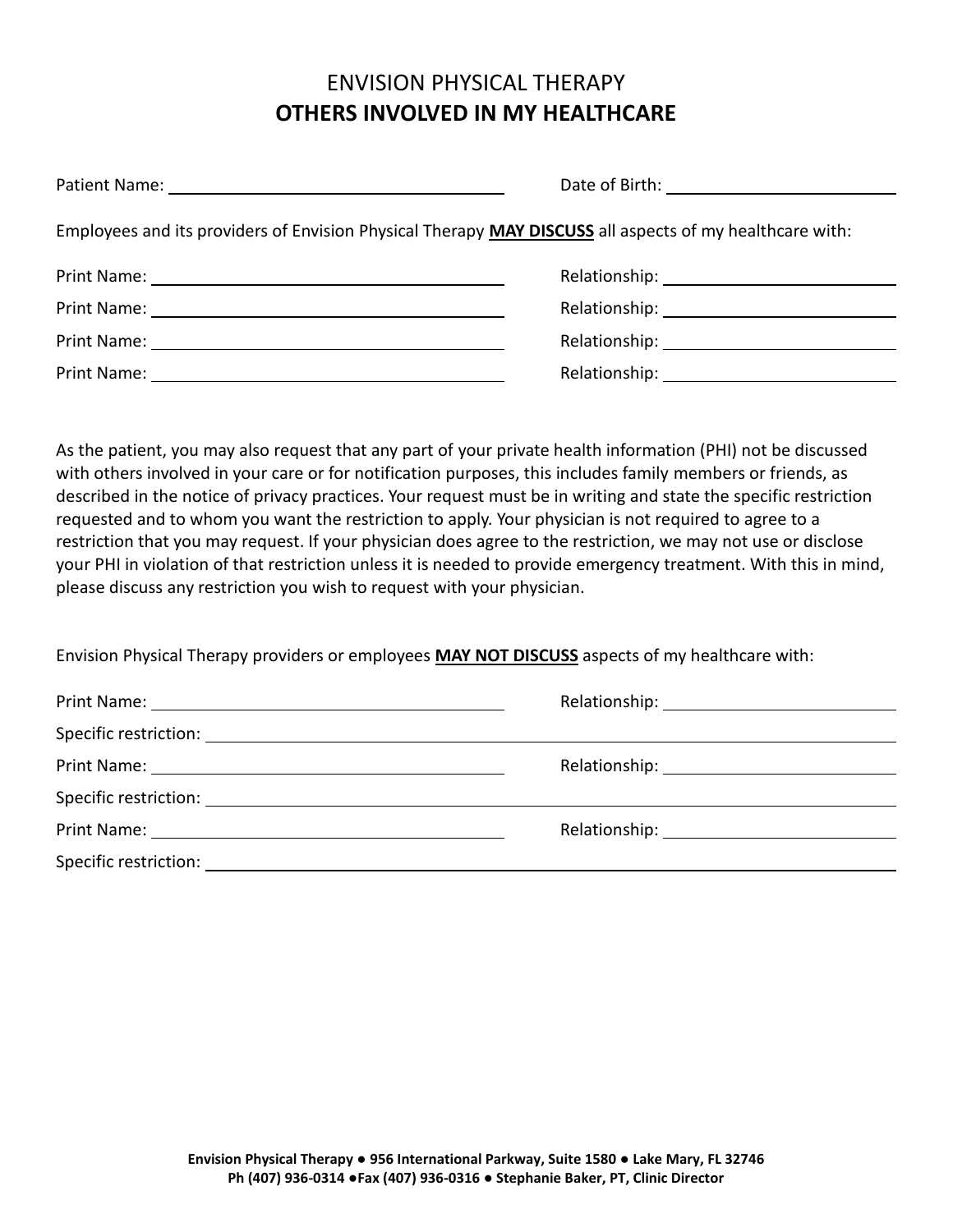# ENVISION PHYSICAL THERAPY **OTHERS INVOLVED IN MY HEALTHCARE**

|             | Employees and its providers of Envision Physical Therapy MAY DISCUSS all aspects of my healthcare with: |
|-------------|---------------------------------------------------------------------------------------------------------|
|             |                                                                                                         |
|             |                                                                                                         |
|             |                                                                                                         |
| Print Name: |                                                                                                         |

As the patient, you may also request that any part of your private health information (PHI) not be discussed with others involved in your care or for notification purposes, this includes family members or friends, as described in the notice of privacy practices. Your request must be in writing and state the specific restriction requested and to whom you want the restriction to apply. Your physician is not required to agree to a restriction that you may request. If your physician does agree to the restriction, we may not use or disclose your PHI in violation of that restriction unless it is needed to provide emergency treatment. With this in mind, please discuss any restriction you wish to request with your physician.

Envision Physical Therapy providers or employees **MAY NOT DISCUSS** aspects of my healthcare with: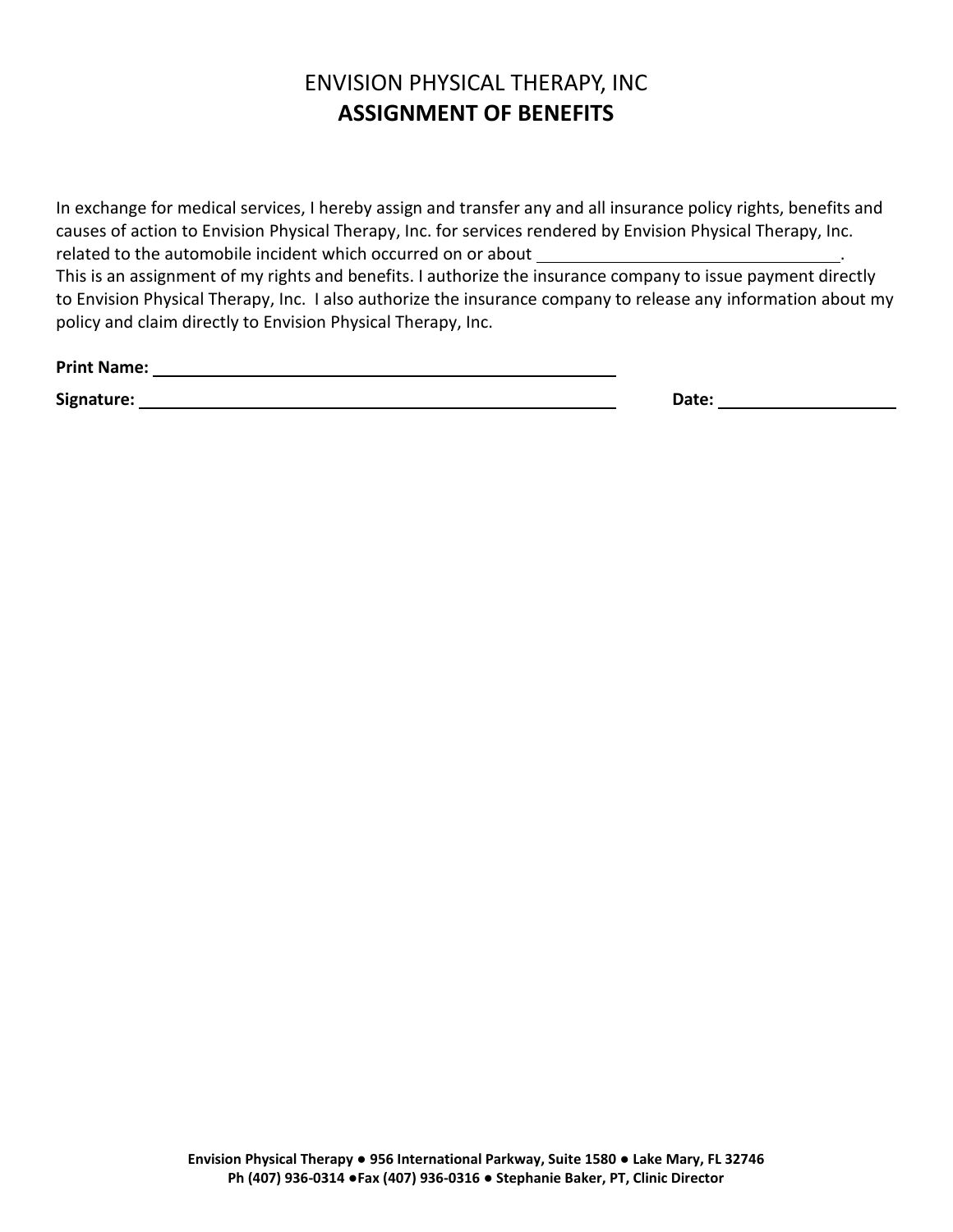# ENVISION PHYSICAL THERAPY, INC **ASSIGNMENT OF BENEFITS**

In exchange for medical services, I hereby assign and transfer any and all insurance policy rights, benefits and causes of action to Envision Physical Therapy, Inc. for services rendered by Envision Physical Therapy, Inc. related to the automobile incident which occurred on or about

This is an assignment of my rights and benefits. I authorize the insurance company to issue payment directly to Envision Physical Therapy, Inc. I also authorize the insurance company to release any information about my policy and claim directly to Envision Physical Therapy, Inc.

**Print Name:**

**Signature: Date:**